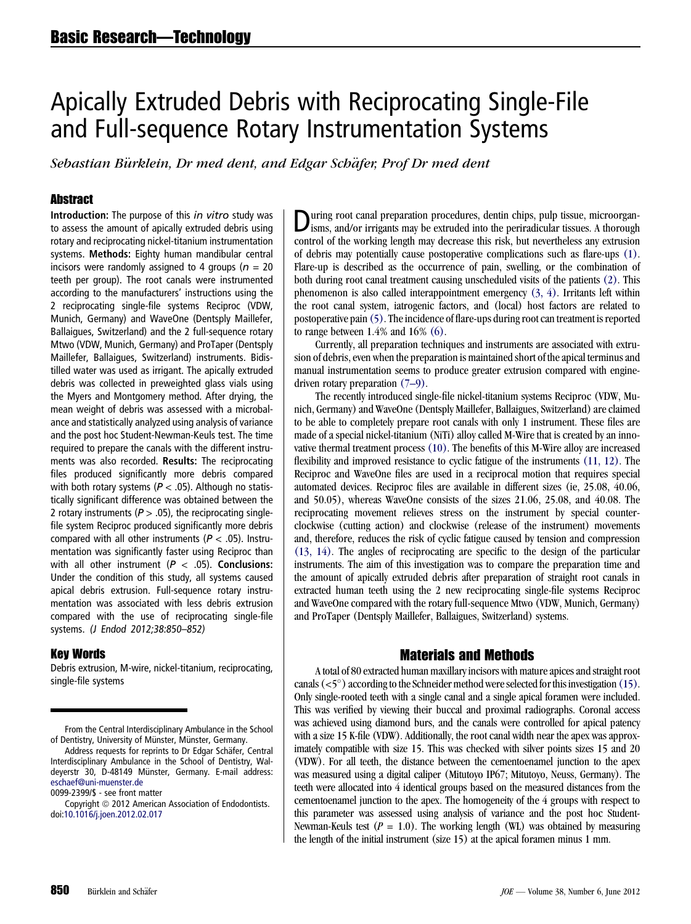# Apically Extruded Debris with Reciprocating Single-File and Full-sequence Rotary Instrumentation Systems

Sebastian Bürklein, Dr med dent, and Edgar Schäfer, Prof Dr med dent

### Abstract

Introduction: The purpose of this *in vitro* study was to assess the amount of apically extruded debris using rotary and reciprocating nickel-titanium instrumentation systems. Methods: Eighty human mandibular central incisors were randomly assigned to 4 groups ( $n = 20$ teeth per group). The root canals were instrumented according to the manufacturers' instructions using the 2 reciprocating single-file systems Reciproc (VDW, Munich, Germany) and WaveOne (Dentsply Maillefer, Ballaigues, Switzerland) and the 2 full-sequence rotary Mtwo (VDW, Munich, Germany) and ProTaper (Dentsply Maillefer, Ballaigues, Switzerland) instruments. Bidistilled water was used as irrigant. The apically extruded debris was collected in preweighted glass vials using the Myers and Montgomery method. After drying, the mean weight of debris was assessed with a microbalance and statistically analyzed using analysis of variance and the post hoc Student-Newman-Keuls test. The time required to prepare the canals with the different instruments was also recorded. Results: The reciprocating files produced significantly more debris compared with both rotary systems ( $P < .05$ ). Although no statistically significant difference was obtained between the 2 rotary instruments ( $P > .05$ ), the reciprocating singlefile system Reciproc produced significantly more debris compared with all other instruments ( $P < .05$ ). Instrumentation was significantly faster using Reciproc than with all other instrument ( $P < .05$ ). Conclusions: Under the condition of this study, all systems caused apical debris extrusion. Full-sequence rotary instrumentation was associated with less debris extrusion compared with the use of reciprocating single-file systems. (J Endod 2012;38:850–852)

#### Key Words

Debris extrusion, M-wire, nickel-titanium, reciprocating, single-file systems

From the Central Interdisciplinary Ambulance in the School of Dentistry, University of Münster, Münster, Germany.

Address requests for reprints to Dr Edgar Schäfer, Central Interdisciplinary Ambulance in the School of Dentistry, Waldeyerstr 30, D-48149 Münster, Germany. E-mail address: [eschaef@uni-muenster.de](mailto:eschaef@uni-muenster.de)

0099-2399/\$ - see front matter

Copyright © 2012 American Association of Endodontists. doi[:10.1016/j.joen.2012.02.017](http://dx.doi.org/10.1016/j.joen.2012.02.017)

During root canal preparation procedures, dentin chips, pulp tissue, microorganisms, and/or irrigants may be extruded into the periradicular tissues. A thorough control of the working length may decrease this risk, but nevertheless any extrusion of debris may potentially cause postoperative complications such as flare-ups [\(1\).](#page-2-0) Flare-up is described as the occurrence of pain, swelling, or the combination of both during root canal treatment causing unscheduled visits of the patients [\(2\).](#page-2-0) This phenomenon is also called interappointment emergency [\(3, 4\)](#page-2-0). Irritants left within the root canal system, iatrogenic factors, and (local) host factors are related to postoperative pain [\(5\).](#page-2-0) The incidence of flare-ups during root can treatment is reported to range between 1.4% and 16% [\(6\)](#page-2-0).

Currently, all preparation techniques and instruments are associated with extrusion of debris, even when the preparation is maintained short of the apical terminus and manual instrumentation seems to produce greater extrusion compared with enginedriven rotary preparation [\(7–9\)](#page-2-0).

The recently introduced single-file nickel-titanium systems Reciproc (VDW, Munich, Germany) and WaveOne (Dentsply Maillefer, Ballaigues, Switzerland) are claimed to be able to completely prepare root canals with only 1 instrument. These files are made of a special nickel-titanium (NiTi) alloy called M-Wire that is created by an innovative thermal treatment process [\(10\).](#page-2-0) The benefits of this M-Wire alloy are increased flexibility and improved resistance to cyclic fatigue of the instruments [\(11, 12\)](#page-2-0). The Reciproc and WaveOne files are used in a reciprocal motion that requires special automated devices. Reciproc files are available in different sizes (ie, 25.08, 40.06, and 50.05), whereas WaveOne consists of the sizes 21.06, 25.08, and 40.08. The reciprocating movement relieves stress on the instrument by special counterclockwise (cutting action) and clockwise (release of the instrument) movements and, therefore, reduces the risk of cyclic fatigue caused by tension and compression [\(13, 14\).](#page-2-0) The angles of reciprocating are specific to the design of the particular instruments. The aim of this investigation was to compare the preparation time and the amount of apically extruded debris after preparation of straight root canals in extracted human teeth using the 2 new reciprocating single-file systems Reciproc and WaveOne compared with the rotary full-sequence Mtwo (VDW, Munich, Germany) and ProTaper (Dentsply Maillefer, Ballaigues, Switzerland) systems.

# Materials and Methods

A total of 80 extracted human maxillary incisors with mature apices and straight root canals  $(<5^{\circ}$ ) according to the Schneider method were selected for this investigation [\(15\).](#page-2-0) Only single-rooted teeth with a single canal and a single apical foramen were included. This was verified by viewing their buccal and proximal radiographs. Coronal access was achieved using diamond burs, and the canals were controlled for apical patency with a size 15 K-file (VDW). Additionally, the root canal width near the apex was approximately compatible with size 15. This was checked with silver points sizes 15 and 20 (VDW). For all teeth, the distance between the cementoenamel junction to the apex was measured using a digital caliper (Mitutoyo IP67; Mitutoyo, Neuss, Germany). The teeth were allocated into 4 identical groups based on the measured distances from the cementoenamel junction to the apex. The homogeneity of the 4 groups with respect to this parameter was assessed using analysis of variance and the post hoc Student-Newman-Keuls test ( $P = 1.0$ ). The working length (WL) was obtained by measuring the length of the initial instrument (size 15) at the apical foramen minus 1 mm.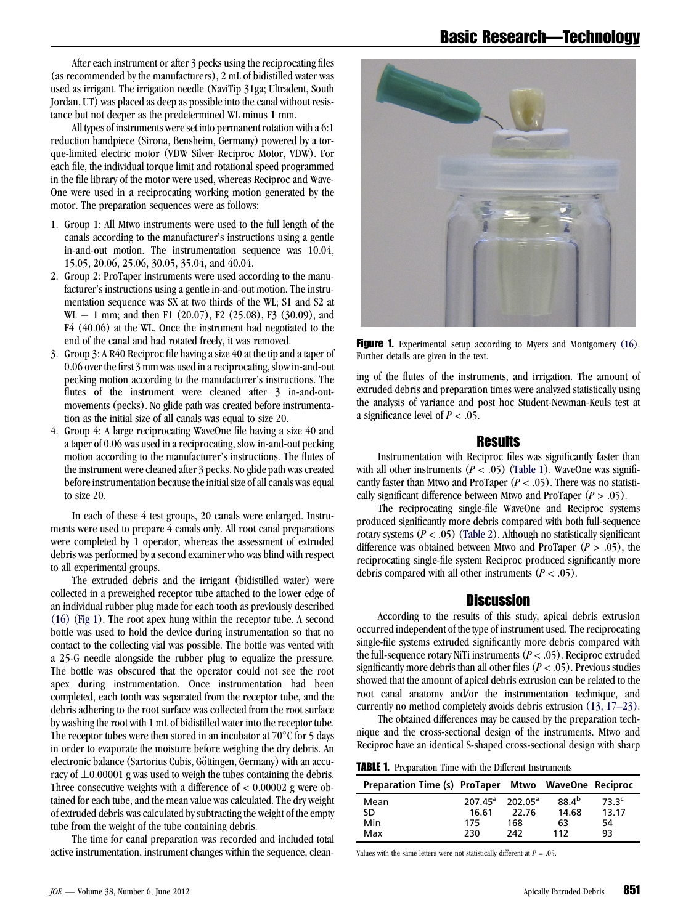After each instrument or after 3 pecks using the reciprocating files (as recommended by the manufacturers), 2 mL of bidistilled water was used as irrigant. The irrigation needle (NaviTip 31ga; Ultradent, South Jordan, UT) was placed as deep as possible into the canal without resistance but not deeper as the predetermined WL minus 1 mm.

All types of instruments were set into permanent rotation with a 6:1 reduction handpiece (Sirona, Bensheim, Germany) powered by a torque-limited electric motor (VDW Silver Reciproc Motor, VDW). For each file, the individual torque limit and rotational speed programmed in the file library of the motor were used, whereas Reciproc and Wave-One were used in a reciprocating working motion generated by the motor. The preparation sequences were as follows:

- 1. Group 1: All Mtwo instruments were used to the full length of the canals according to the manufacturer's instructions using a gentle in-and-out motion. The instrumentation sequence was 10.04, 15.05, 20.06, 25.06, 30.05, 35.04, and 40.04.
- 2. Group 2: ProTaper instruments were used according to the manufacturer's instructions using a gentle in-and-out motion. The instrumentation sequence was SX at two thirds of the WL; S1 and S2 at  $WL - 1$  mm; and then F1 (20.07), F2 (25.08), F3 (30.09), and F4 (40.06) at the WL. Once the instrument had negotiated to the end of the canal and had rotated freely, it was removed.
- 3. Group 3: A R40 Reciproc file having a size 40 at the tip and a taper of 0.06 over the first 3 mm was used in a reciprocating, slow in-and-out pecking motion according to the manufacturer's instructions. The flutes of the instrument were cleaned after 3 in-and-outmovements (pecks). No glide path was created before instrumentation as the initial size of all canals was equal to size 20.
- 4. Group 4: A large reciprocating WaveOne file having a size 40 and a taper of 0.06 was used in a reciprocating, slow in-and-out pecking motion according to the manufacturer's instructions. The flutes of the instrument were cleaned after 3 pecks. No glide path was created before instrumentation because the initial size of all canals was equal to size 20.

In each of these 4 test groups, 20 canals were enlarged. Instruments were used to prepare 4 canals only. All root canal preparations were completed by 1 operator, whereas the assessment of extruded debris was performed by a second examiner who was blind with respect to all experimental groups.

The extruded debris and the irrigant (bidistilled water) were collected in a preweighed receptor tube attached to the lower edge of an individual rubber plug made for each tooth as previously described [\(16\)](#page-2-0) (Fig 1). The root apex hung within the receptor tube. A second bottle was used to hold the device during instrumentation so that no contact to the collecting vial was possible. The bottle was vented with a 25-G needle alongside the rubber plug to equalize the pressure. The bottle was obscured that the operator could not see the root apex during instrumentation. Once instrumentation had been completed, each tooth was separated from the receptor tube, and the debris adhering to the root surface was collected from the root surface by washing the root with 1 mL of bidistilled water into the receptor tube. The receptor tubes were then stored in an incubator at  $70^{\circ}$ C for 5 days in order to evaporate the moisture before weighing the dry debris. An electronic balance (Sartorius Cubis, Göttingen, Germany) with an accuracy of  $\pm 0.00001$  g was used to weigh the tubes containing the debris. Three consecutive weights with a difference of  $< 0.00002$  g were obtained for each tube, and the mean value was calculated. The dry weight of extruded debris was calculated by subtracting the weight of the empty tube from the weight of the tube containing debris.

The time for canal preparation was recorded and included total active instrumentation, instrument changes within the sequence, clean-



**Figure 1.** Experimental setup according to Myers and Montgomery [\(16\)](#page-2-0). Further details are given in the text.

ing of the flutes of the instruments, and irrigation. The amount of extruded debris and preparation times were analyzed statistically using the analysis of variance and post hoc Student-Newman-Keuls test at a significance level of  $P < .05$ .

## Results

Instrumentation with Reciproc files was significantly faster than with all other instruments ( $P < .05$ ) (Table 1). WaveOne was significantly faster than Mtwo and ProTaper ( $P < .05$ ). There was no statistically significant difference between Mtwo and ProTaper  $(P > .05)$ .

The reciprocating single-file WaveOne and Reciproc systems produced significantly more debris compared with both full-sequence rotary systems ( $P < .05$ ) [\(Table 2](#page-2-0)). Although no statistically significant difference was obtained between Mtwo and ProTaper ( $P > .05$ ), the reciprocating single-file system Reciproc produced significantly more debris compared with all other instruments  $(P < .05)$ .

### Discussion

According to the results of this study, apical debris extrusion occurred independent of the type of instrument used. The reciprocating single-file systems extruded significantly more debris compared with the full-sequence rotary NiTi instruments ( $P < .05$ ). Reciproc extruded significantly more debris than all other files ( $P < .05$ ). Previous studies showed that the amount of apical debris extrusion can be related to the root canal anatomy and/or the instrumentation technique, and currently no method completely avoids debris extrusion [\(13, 17–23\).](#page-2-0)

The obtained differences may be caused by the preparation technique and the cross-sectional design of the instruments. Mtwo and Reciproc have an identical S-shaped cross-sectional design with sharp

**TABLE 1.** Preparation Time with the Different Instruments

| Preparation Time (s) ProTaper Mtwo WaveOne Reciproc |                       |       |            |                   |
|-----------------------------------------------------|-----------------------|-------|------------|-------------------|
| Mean                                                | $207.45^a$ $202.05^a$ |       | $88.4^{b}$ | 73.3 <sup>c</sup> |
| SD                                                  | 16.61                 | 22.76 | 14.68      | 13.17             |
| Min                                                 | 175                   | 168   | 63         | 54                |
| Max                                                 | 230                   | 242   | 112        | 93                |

Values with the same letters were not statistically different at  $P = .05$ .